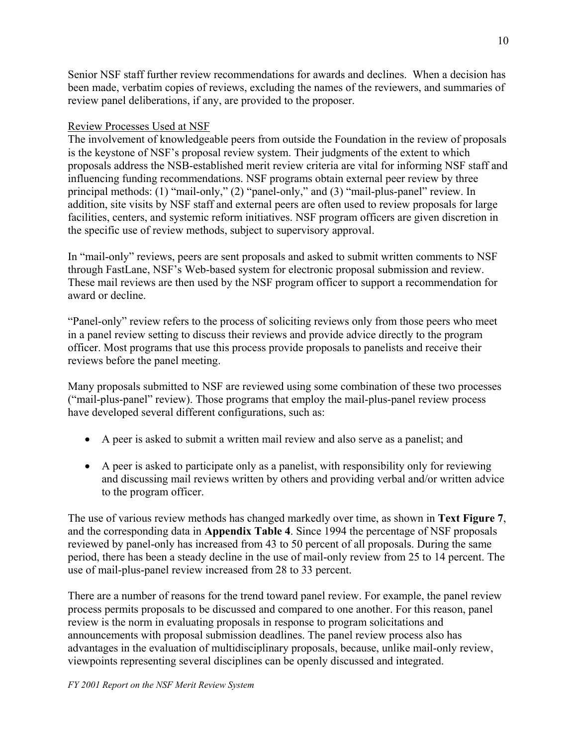Senior NSF staff further review recommendations for awards and declines. When a decision has been made, verbatim copies of reviews, excluding the names of the reviewers, and summaries of review panel deliberations, if any, are provided to the proposer.

#### Review Processes Used at NSF

The involvement of knowledgeable peers from outside the Foundation in the review of proposals is the keystone of NSF's proposal review system. Their judgments of the extent to which proposals address the NSB-established merit review criteria are vital for informing NSF staff and influencing funding recommendations. NSF programs obtain external peer review by three principal methods: (1) "mail-only," (2) "panel-only," and (3) "mail-plus-panel" review. In addition, site visits by NSF staff and external peers are often used to review proposals for large facilities, centers, and systemic reform initiatives. NSF program officers are given discretion in the specific use of review methods, subject to supervisory approval.

In "mail-only" reviews, peers are sent proposals and asked to submit written comments to NSF through FastLane, NSF's Web-based system for electronic proposal submission and review. These mail reviews are then used by the NSF program officer to support a recommendation for award or decline.

"Panel-only" review refers to the process of soliciting reviews only from those peers who meet in a panel review setting to discuss their reviews and provide advice directly to the program officer. Most programs that use this process provide proposals to panelists and receive their reviews before the panel meeting.

Many proposals submitted to NSF are reviewed using some combination of these two processes ("mail-plus-panel" review). Those programs that employ the mail-plus-panel review process have developed several different configurations, such as:

- A peer is asked to submit a written mail review and also serve as a panelist; and
- A peer is asked to participate only as a panelist, with responsibility only for reviewing and discussing mail reviews written by others and providing verbal and/or written advice to the program officer.

The use of various review methods has changed markedly over time, as shown in **Text Figure 7**, and the corresponding data in **Appendix Table 4**. Since 1994 the percentage of NSF proposals reviewed by panel-only has increased from 43 to 50 percent of all proposals. During the same period, there has been a steady decline in the use of mail-only review from 25 to 14 percent. The use of mail-plus-panel review increased from 28 to 33 percent.

There are a number of reasons for the trend toward panel review. For example, the panel review process permits proposals to be discussed and compared to one another. For this reason, panel review is the norm in evaluating proposals in response to program solicitations and announcements with proposal submission deadlines. The panel review process also has advantages in the evaluation of multidisciplinary proposals, because, unlike mail-only review, viewpoints representing several disciplines can be openly discussed and integrated.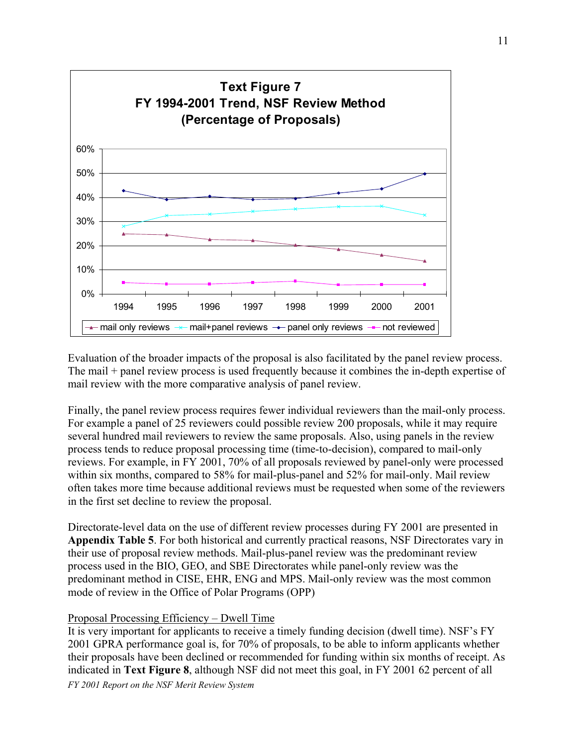

Evaluation of the broader impacts of the proposal is also facilitated by the panel review process. The mail + panel review process is used frequently because it combines the in-depth expertise of mail review with the more comparative analysis of panel review.

Finally, the panel review process requires fewer individual reviewers than the mail-only process. For example a panel of 25 reviewers could possible review 200 proposals, while it may require several hundred mail reviewers to review the same proposals. Also, using panels in the review process tends to reduce proposal processing time (time-to-decision), compared to mail-only reviews. For example, in FY 2001, 70% of all proposals reviewed by panel-only were processed within six months, compared to 58% for mail-plus-panel and 52% for mail-only. Mail review often takes more time because additional reviews must be requested when some of the reviewers in the first set decline to review the proposal.

Directorate-level data on the use of different review processes during FY 2001 are presented in **Appendix Table 5**. For both historical and currently practical reasons, NSF Directorates vary in their use of proposal review methods. Mail-plus-panel review was the predominant review process used in the BIO, GEO, and SBE Directorates while panel-only review was the predominant method in CISE, EHR, ENG and MPS. Mail-only review was the most common mode of review in the Office of Polar Programs (OPP)

#### Proposal Processing Efficiency – Dwell Time

It is very important for applicants to receive a timely funding decision (dwell time). NSF's FY 2001 GPRA performance goal is, for 70% of proposals, to be able to inform applicants whether their proposals have been declined or recommended for funding within six months of receipt. As indicated in **Text Figure 8**, although NSF did not meet this goal, in FY 2001 62 percent of all *FY 2001 Report on the NSF Merit Review System*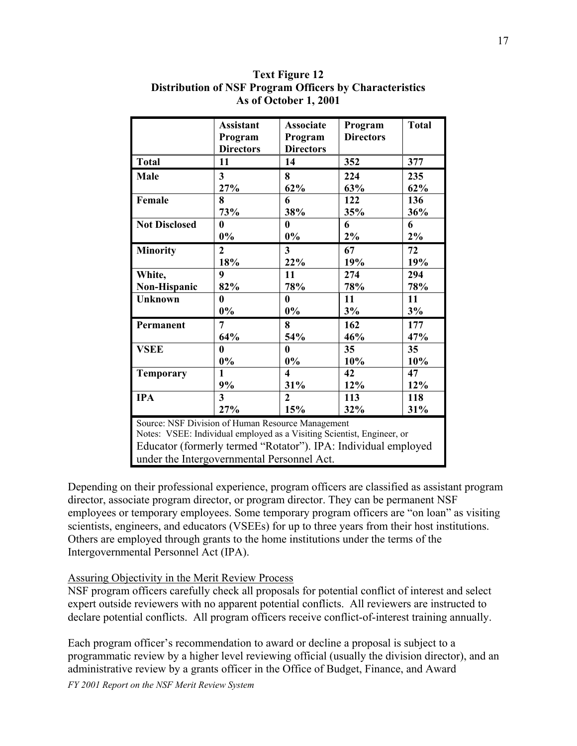|                                                                        | <b>Assistant</b> | <b>Associate</b>        | Program          | <b>Total</b> |  |
|------------------------------------------------------------------------|------------------|-------------------------|------------------|--------------|--|
|                                                                        | Program          | Program                 | <b>Directors</b> |              |  |
|                                                                        | <b>Directors</b> | <b>Directors</b>        |                  |              |  |
| <b>Total</b>                                                           | 11               | 14                      | 352              | 377          |  |
| <b>Male</b>                                                            | 3                | 8                       | 224              | 235          |  |
|                                                                        | 27%              | 62%                     | 63%              | 62%          |  |
| Female                                                                 | 8                | 6                       | 122              | 136          |  |
|                                                                        | 73%              | 38%                     | 35%              | 36%          |  |
| <b>Not Disclosed</b>                                                   | 0                | 0                       | 6                | 6            |  |
|                                                                        | $0\%$            | $0\%$                   | 2%               | $2\%$        |  |
| <b>Minority</b>                                                        | $\overline{2}$   | $\overline{\mathbf{3}}$ | 67               | 72           |  |
|                                                                        | 18%              | 22%                     | 19%              | 19%          |  |
| White,                                                                 | 9                | 11                      | 274              | 294          |  |
| Non-Hispanic                                                           | 82%              | 78%                     | 78%              | 78%          |  |
| <b>Unknown</b>                                                         | $\bf{0}$         | 0                       | 11               | 11           |  |
|                                                                        | $0\%$            | $0\%$                   | 3%               | 3%           |  |
| Permanent                                                              | 7                | 8                       | 162              | 177          |  |
|                                                                        | 64%              | 54%                     | 46%              | 47%          |  |
| <b>VSEE</b>                                                            | $\bf{0}$         | $\bf{0}$                | 35               | 35           |  |
|                                                                        | $0\%$            | $0\%$                   | 10%              | 10%          |  |
| <b>Temporary</b>                                                       | 1                | $\overline{\mathbf{4}}$ | 42               | 47           |  |
|                                                                        | 9%               | 31%                     | 12%              | 12%          |  |
| <b>IPA</b>                                                             | 3                | $\overline{2}$          | 113              | 118          |  |
|                                                                        | 27%              | 15%                     | 32%              | 31%          |  |
| Source: NSF Division of Human Resource Management                      |                  |                         |                  |              |  |
| Notes: VSEE: Individual employed as a Visiting Scientist, Engineer, or |                  |                         |                  |              |  |
| Educator (formerly termed "Rotator"). IPA: Individual employed         |                  |                         |                  |              |  |
| under the Intergovernmental Personnel Act.                             |                  |                         |                  |              |  |

**Text Figure 12 Distribution of NSF Program Officers by Characteristics As of October 1, 2001**

Depending on their professional experience, program officers are classified as assistant program director, associate program director, or program director. They can be permanent NSF employees or temporary employees. Some temporary program officers are "on loan" as visiting scientists, engineers, and educators (VSEEs) for up to three years from their host institutions. Others are employed through grants to the home institutions under the terms of the Intergovernmental Personnel Act (IPA).

#### Assuring Objectivity in the Merit Review Process

NSF program officers carefully check all proposals for potential conflict of interest and select expert outside reviewers with no apparent potential conflicts. All reviewers are instructed to declare potential conflicts. All program officers receive conflict-of-interest training annually.

Each program officer's recommendation to award or decline a proposal is subject to a programmatic review by a higher level reviewing official (usually the division director), and an administrative review by a grants officer in the Office of Budget, Finance, and Award

*FY 2001 Report on the NSF Merit Review System*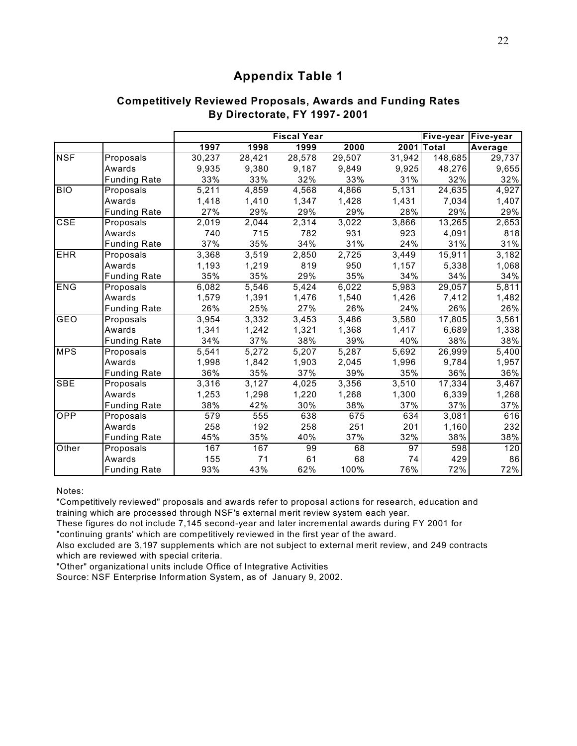### **Competitively Reviewed Proposals, Awards and Funding Rates By Directorate, FY 1997- 2001**

|            |                     |        |                     | <b>Fiscal Year</b> |        |        | Five-year   Five-year |                    |
|------------|---------------------|--------|---------------------|--------------------|--------|--------|-----------------------|--------------------|
|            |                     | 1997   | 1998                | 1999               | 2000   |        | 2001 Total            | Average            |
| <b>NSF</b> | Proposals           | 30,237 | $\overline{28,421}$ | 28,578             | 29,507 | 31,942 | 148,685               | 29,737             |
|            | Awards              | 9,935  | 9,380               | 9,187              | 9,849  | 9,925  | 48,276                | 9,655              |
|            | <b>Funding Rate</b> | 33%    | 33%                 | 32%                | 33%    | 31%    | 32%                   | 32%                |
| <b>BIO</b> | Proposals           | 5,211  | 4,859               | 4,568              | 4,866  | 5,131  | 24,635                | 4,927              |
|            | Awards              | 1,418  | 1,410               | 1,347              | 1,428  | 1,431  | 7,034                 | 1,407              |
|            | <b>Funding Rate</b> | 27%    | 29%                 | 29%                | 29%    | 28%    | 29%                   | 29%                |
| CSE        | Proposals           | 2,019  | 2,044               | 2,314              | 3,022  | 3,866  | 13,265                | $\overline{2,653}$ |
|            | Awards              | 740    | 715                 | 782                | 931    | 923    | 4,091                 | 818                |
|            | <b>Funding Rate</b> | 37%    | 35%                 | 34%                | 31%    | 24%    | 31%                   | 31%                |
| <b>EHR</b> | Proposals           | 3,368  | 3,519               | 2,850              | 2,725  | 3,449  | 15,911                | 3,182              |
|            | Awards              | 1,193  | 1,219               | 819                | 950    | 1,157  | 5,338                 | 1,068              |
|            | <b>Funding Rate</b> | 35%    | 35%                 | 29%                | 35%    | 34%    | 34%                   | 34%                |
| ENG        | Proposals           | 6,082  | 5,546               | 5,424              | 6,022  | 5,983  | 29,057                | 5,811              |
|            | Awards              | 1,579  | 1,391               | 1,476              | 1,540  | 1,426  | 7,412                 | 1,482              |
|            | <b>Funding Rate</b> | 26%    | 25%                 | 27%                | 26%    | 24%    | 26%                   | 26%                |
| GEO        | Proposals           | 3,954  | 3,332               | 3,453              | 3,486  | 3,580  | 17,805                | 3,561              |
|            | Awards              | 1,341  | 1,242               | 1,321              | 1,368  | 1,417  | 6,689                 | 1,338              |
|            | <b>Funding Rate</b> | 34%    | 37%                 | 38%                | 39%    | 40%    | 38%                   | 38%                |
| <b>MPS</b> | Proposals           | 5,541  | 5,272               | 5,207              | 5,287  | 5,692  | 26,999                | $\overline{5,}400$ |
|            | Awards              | 1,998  | 1,842               | 1,903              | 2,045  | 1,996  | 9,784                 | 1,957              |
|            | <b>Funding Rate</b> | 36%    | 35%                 | 37%                | 39%    | 35%    | 36%                   | 36%                |
| <b>SBE</b> | Proposals           | 3,316  | 3,127               | 4,025              | 3,356  | 3,510  | 17,334                | 3,467              |
|            | Awards              | 1,253  | 1,298               | 1,220              | 1,268  | 1,300  | 6,339                 | 1,268              |
|            | <b>Funding Rate</b> | 38%    | 42%                 | 30%                | 38%    | 37%    | 37%                   | 37%                |
| OPP        | Proposals           | 579    | 555                 | 638                | 675    | 634    | 3,081                 | 616                |
|            | Awards              | 258    | 192                 | 258                | 251    | 201    | 1,160                 | 232                |
|            | <b>Funding Rate</b> | 45%    | 35%                 | 40%                | 37%    | 32%    | 38%                   | 38%                |
| Other      | Proposals           | 167    | 167                 | 99                 | 68     | 97     | 598                   | 120                |
|            | Awards              | 155    | 71                  | 61                 | 68     | 74     | 429                   | 86                 |
|            | <b>Funding Rate</b> | 93%    | 43%                 | 62%                | 100%   | 76%    | 72%                   | 72%                |

Notes:

"Competitively reviewed" proposals and awards refer to proposal actions for research, education and training which are processed through NSF's external merit review system each year.

These figures do not include 7,145 second-year and later incremental awards during FY 2001 for "continuing grants' which are competitively reviewed in the first year of the award.

Also excluded are 3,197 supplements which are not subject to external merit review, and 249 contracts which are reviewed with special criteria.

"Other" organizational units include Office of Integrative Activities

Source: NSF Enterprise Information System, as of January 9, 2002.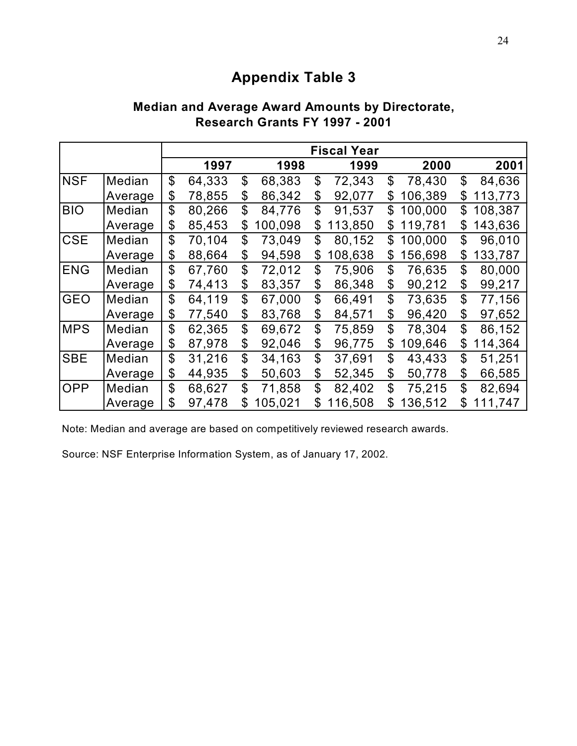|            |         |              |                |         | <b>Fiscal Year</b> |                |         |               |
|------------|---------|--------------|----------------|---------|--------------------|----------------|---------|---------------|
|            |         | 1997         |                | 1998    | 1999               |                | 2000    | 2001          |
| <b>NSF</b> | Median  | \$<br>64,333 | $\mathbf{\$}$  | 68,383  | \$<br>72,343       | \$             | 78,430  | \$<br>84,636  |
|            | Average | \$<br>78,855 | \$             | 86,342  | \$<br>92,077       | \$             | 106,389 | \$<br>113,773 |
| <b>BIO</b> | Median  | \$<br>80,266 | \$             | 84,776  | \$<br>91,537       | \$             | 100,000 | \$<br>108,387 |
|            | Average | \$<br>85,453 | \$             | 100,098 | \$<br>113,850      | \$             | 119,781 | \$<br>143,636 |
| <b>CSE</b> | Median  | \$<br>70,104 | \$             | 73,049  | \$<br>80,152       | \$             | 100,000 | \$<br>96,010  |
|            | Average | \$<br>88,664 | \$             | 94,598  | \$<br>108,638      | \$             | 156,698 | \$<br>133,787 |
| <b>ENG</b> | Median  | \$<br>67,760 | \$             | 72,012  | \$<br>75,906       | \$             | 76,635  | \$<br>80,000  |
|            | Average | \$<br>74,413 | \$             | 83,357  | \$<br>86,348       | \$             | 90,212  | \$<br>99,217  |
| <b>GEO</b> | Median  | \$<br>64,119 | \$             | 67,000  | \$<br>66,491       | \$             | 73,635  | \$<br>77,156  |
|            | Average | \$<br>77,540 | \$             | 83,768  | \$<br>84,571       | \$             | 96,420  | \$<br>97,652  |
| <b>MPS</b> | Median  | \$<br>62,365 | $\mathfrak{S}$ | 69,672  | \$<br>75,859       | $\mathfrak{L}$ | 78,304  | \$<br>86,152  |
|            | Average | \$<br>87,978 | \$             | 92,046  | \$<br>96,775       | \$             | 109,646 | \$<br>114,364 |
| <b>SBE</b> | Median  | \$<br>31,216 | \$             | 34,163  | \$<br>37,691       | \$             | 43,433  | \$<br>51,251  |
|            | Average | \$<br>44,935 | \$             | 50,603  | \$<br>52,345       | \$             | 50,778  | \$<br>66,585  |
| <b>OPP</b> | Median  | \$<br>68,627 | $\mathfrak{L}$ | 71,858  | \$<br>82,402       | \$             | 75,215  | \$<br>82,694  |
|            | Average | \$<br>97,478 | \$             | 105,021 | \$<br>116,508      | \$             | 136,512 | \$<br>111,747 |

## **Median and Average Award Amounts by Directorate, Research Grants FY 1997 - 2001**

Note: Median and average are based on competitively reviewed research awards.

Source: NSF Enterprise Information System, as of January 17, 2002.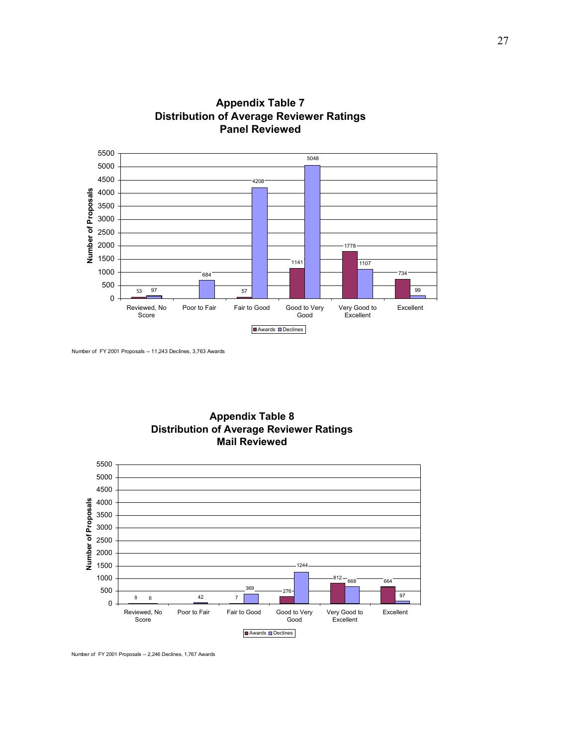







Number of FY 2001 Proposals -- 2,246 Declines, 1,767 Awards

Number of FY 2001 Proposals -- 11,243 Declines, 3,763 Awards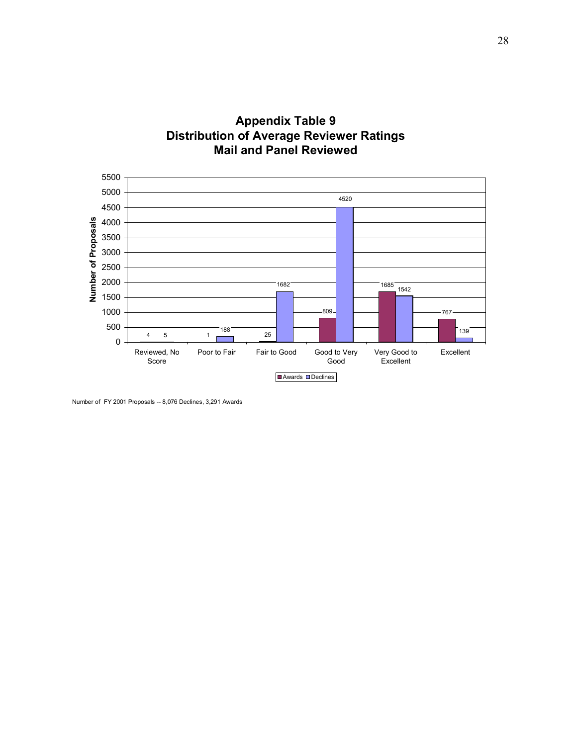



Number of FY 2001 Proposals -- 8,076 Declines, 3,291 Awards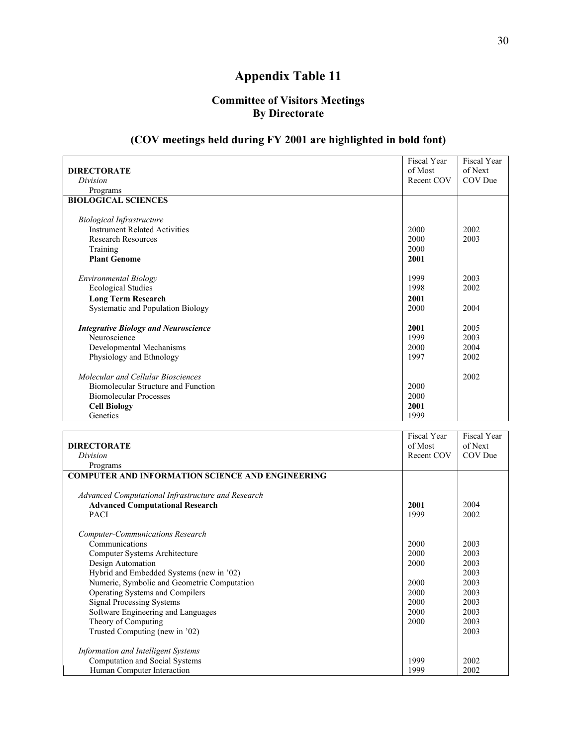### **Committee of Visitors Meetings By Directorate**

### **(COV meetings held during FY 2001 are highlighted in bold font)**

|                                                         | Fiscal Year | Fiscal Year |
|---------------------------------------------------------|-------------|-------------|
| <b>DIRECTORATE</b>                                      | of Most     | of Next     |
| Division                                                | Recent COV  | COV Due     |
| Programs                                                |             |             |
| <b>BIOLOGICAL SCIENCES</b>                              |             |             |
| <b>Biological Infrastructure</b>                        |             |             |
| <b>Instrument Related Activities</b>                    | 2000        | 2002        |
| <b>Research Resources</b>                               | 2000        | 2003        |
| Training                                                | 2000        |             |
| <b>Plant Genome</b>                                     | 2001        |             |
| <b>Environmental Biology</b>                            | 1999        | 2003        |
| <b>Ecological Studies</b>                               | 1998        | 2002        |
| <b>Long Term Research</b>                               | 2001        |             |
| Systematic and Population Biology                       | 2000        | 2004        |
| <b>Integrative Biology and Neuroscience</b>             | 2001        | 2005        |
| Neuroscience                                            | 1999        | 2003        |
| Developmental Mechanisms                                | 2000        | 2004        |
| Physiology and Ethnology                                | 1997        | 2002        |
| Molecular and Cellular Biosciences                      |             | 2002        |
| Biomolecular Structure and Function                     | 2000        |             |
| <b>Biomolecular Processes</b>                           | 2000        |             |
| <b>Cell Biology</b>                                     | 2001        |             |
| Genetics                                                | 1999        |             |
|                                                         | Fiscal Year | Fiscal Year |
| <b>DIRECTORATE</b>                                      | of Most     | of Next     |
| Division                                                | Recent COV  | COV Due     |
| Programs                                                |             |             |
| <b>COMPUTER AND INFORMATION SCIENCE AND ENGINEERING</b> |             |             |
| Advanced Computational Infrastructure and Research      |             |             |
| <b>Advanced Computational Research</b>                  | 2001        | 2004        |
| <b>PACI</b>                                             | 1999        | 2002        |
| <b>Computer-Communications Research</b>                 |             |             |
| Communications                                          | 2000        | 2003        |
| Computer Systems Architecture                           | 2000        | 2003        |
| Design Automation                                       | 2000        | 2003        |
| Hybrid and Embedded Systems (new in '02)                |             | 2003        |
| Numeric, Symbolic and Geometric Computation             | 2000        | 2003        |
| Operating Systems and Compilers                         | 2000        | 2003        |
| <b>Signal Processing Systems</b>                        | 2000        | 2003        |

| Theory of Computing                 | 2000 | 2003 |
|-------------------------------------|------|------|
| Trusted Computing (new in '02)      |      | 2003 |
|                                     |      |      |
| Information and Intelligent Systems |      |      |
| Computation and Social Systems      | 1999 | 2002 |
| Human Computer Interaction          | 1999 | 2002 |

2000

2003

Software Engineering and Languages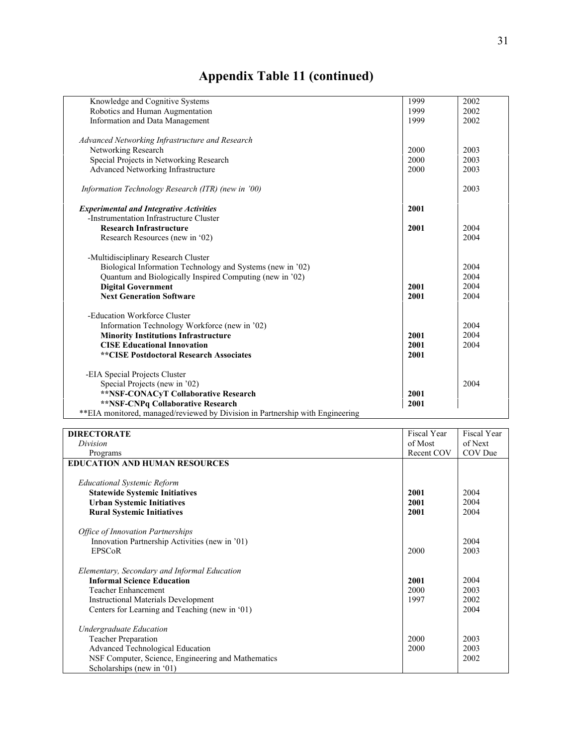| Knowledge and Cognitive Systems                                               | 1999 | 2002 |
|-------------------------------------------------------------------------------|------|------|
| Robotics and Human Augmentation                                               | 1999 | 2002 |
| Information and Data Management                                               | 1999 | 2002 |
| Advanced Networking Infrastructure and Research                               |      |      |
| Networking Research                                                           | 2000 | 2003 |
| Special Projects in Networking Research                                       | 2000 | 2003 |
| Advanced Networking Infrastructure                                            | 2000 | 2003 |
| Information Technology Research (ITR) (new in '00)                            |      | 2003 |
| <b>Experimental and Integrative Activities</b>                                | 2001 |      |
| -Instrumentation Infrastructure Cluster                                       |      |      |
| <b>Research Infrastructure</b>                                                | 2001 | 2004 |
| Research Resources (new in '02)                                               |      | 2004 |
| -Multidisciplinary Research Cluster                                           |      |      |
| Biological Information Technology and Systems (new in '02)                    |      | 2004 |
| Quantum and Biologically Inspired Computing (new in '02)                      |      | 2004 |
| <b>Digital Government</b>                                                     | 2001 | 2004 |
| <b>Next Generation Software</b>                                               | 2001 | 2004 |
| -Education Workforce Cluster                                                  |      |      |
| Information Technology Workforce (new in '02)                                 |      | 2004 |
| <b>Minority Institutions Infrastructure</b>                                   | 2001 | 2004 |
| <b>CISE Educational Innovation</b>                                            | 2001 | 2004 |
| **CISE Postdoctoral Research Associates                                       | 2001 |      |
| -EIA Special Projects Cluster                                                 |      |      |
| Special Projects (new in '02)                                                 |      | 2004 |
| **NSF-CONACyT Collaborative Research                                          | 2001 |      |
| **NSF-CNPq Collaborative Research                                             | 2001 |      |
| **EIA monitored, managed/reviewed by Division in Partnership with Engineering |      |      |
|                                                                               |      |      |

| <b>DIRECTORATE</b>                                 | Fiscal Year | Fiscal Year |
|----------------------------------------------------|-------------|-------------|
| Division                                           | of Most     | of Next     |
| Programs                                           | Recent COV  | COV Due     |
| <b>EDUCATION AND HUMAN RESOURCES</b>               |             |             |
| <b>Educational Systemic Reform</b>                 |             |             |
| <b>Statewide Systemic Initiatives</b>              | 2001        | 2004        |
| <b>Urban Systemic Initiatives</b>                  | 2001        | 2004        |
| <b>Rural Systemic Initiatives</b>                  | 2001        | 2004        |
| <b>Office of Innovation Partnerships</b>           |             |             |
| Innovation Partnership Activities (new in '01)     |             | 2004        |
| <b>EPSCoR</b>                                      | 2000        | 2003        |
|                                                    |             |             |
| Elementary, Secondary and Informal Education       |             |             |
| <b>Informal Science Education</b>                  | 2001        | 2004        |
| <b>Teacher Enhancement</b>                         | 2000        | 2003        |
| <b>Instructional Materials Development</b>         | 1997        | 2002        |
| Centers for Learning and Teaching (new in '01)     |             | 2004        |
| <b>Undergraduate Education</b>                     |             |             |
| <b>Teacher Preparation</b>                         | 2000        | 2003        |
| Advanced Technological Education                   | 2000        | 2003        |
| NSF Computer, Science, Engineering and Mathematics |             | 2002        |
| Scholarships (new in '01)                          |             |             |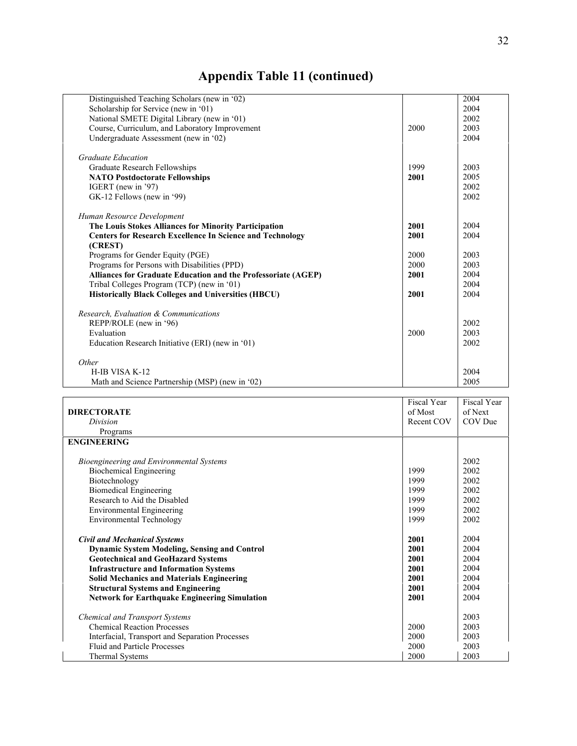| Distinguished Teaching Scholars (new in '02)                     |      | 2004 |
|------------------------------------------------------------------|------|------|
| Scholarship for Service (new in '01)                             |      | 2004 |
| National SMETE Digital Library (new in '01)                      |      | 2002 |
| Course, Curriculum, and Laboratory Improvement                   | 2000 | 2003 |
|                                                                  |      | 2004 |
| Undergraduate Assessment (new in '02)                            |      |      |
| <b>Graduate Education</b>                                        |      |      |
| Graduate Research Fellowships                                    | 1999 | 2003 |
| <b>NATO Postdoctorate Fellowships</b>                            | 2001 | 2005 |
| IGERT (new in '97)                                               |      | 2002 |
| GK-12 Fellows (new in '99)                                       |      | 2002 |
|                                                                  |      |      |
| Human Resource Development                                       |      |      |
| The Louis Stokes Alliances for Minority Participation            | 2001 | 2004 |
| <b>Centers for Research Excellence In Science and Technology</b> | 2001 | 2004 |
| (CREST)                                                          |      |      |
| Programs for Gender Equity (PGE)                                 | 2000 | 2003 |
| Programs for Persons with Disabilities (PPD)                     | 2000 | 2003 |
| Alliances for Graduate Education and the Professoriate (AGEP)    | 2001 | 2004 |
| Tribal Colleges Program (TCP) (new in '01)                       |      | 2004 |
| <b>Historically Black Colleges and Universities (HBCU)</b>       | 2001 | 2004 |
|                                                                  |      |      |
| Research. Evaluation & Communications                            |      |      |
| REPP/ROLE (new in '96)                                           |      | 2002 |
| Evaluation                                                       | 2000 | 2003 |
| Education Research Initiative (ERI) (new in '01)                 |      | 2002 |
|                                                                  |      |      |
| Other                                                            |      |      |
| H-IB VISA K-12                                                   |      | 2004 |
| Math and Science Partnership (MSP) (new in '02)                  |      | 2005 |

|                                                      | Fiscal Year | Fiscal Year |
|------------------------------------------------------|-------------|-------------|
| <b>DIRECTORATE</b>                                   | of Most     | of Next     |
| Division                                             | Recent COV  | COV Due     |
| Programs                                             |             |             |
| <b>ENGINEERING</b>                                   |             |             |
|                                                      |             |             |
| Bioengineering and Environmental Systems             |             | 2002        |
| <b>Biochemical Engineering</b>                       | 1999        | 2002        |
| Biotechnology                                        | 1999        | 2002        |
| <b>Biomedical Engineering</b>                        | 1999        | 2002        |
| Research to Aid the Disabled                         | 1999        | 2002        |
| <b>Environmental Engineering</b>                     | 1999        | 2002        |
| <b>Environmental Technology</b>                      | 1999        | 2002        |
|                                                      |             |             |
| <b>Civil and Mechanical Systems</b>                  | 2001        | 2004        |
| <b>Dynamic System Modeling, Sensing and Control</b>  | 2001        | 2004        |
| <b>Geotechnical and GeoHazard Systems</b>            | 2001        | 2004        |
| <b>Infrastructure and Information Systems</b>        | 2001        | 2004        |
| <b>Solid Mechanics and Materials Engineering</b>     | 2001        | 2004        |
| <b>Structural Systems and Engineering</b>            | 2001        | 2004        |
| <b>Network for Earthquake Engineering Simulation</b> | 2001        | 2004        |
|                                                      |             |             |
| <b>Chemical and Transport Systems</b>                |             | 2003        |
| <b>Chemical Reaction Processes</b>                   | 2000        | 2003        |
| Interfacial, Transport and Separation Processes      | 2000        | 2003        |
| <b>Fluid and Particle Processes</b>                  | 2000        | 2003        |
| <b>Thermal Systems</b>                               | 2000        | 2003        |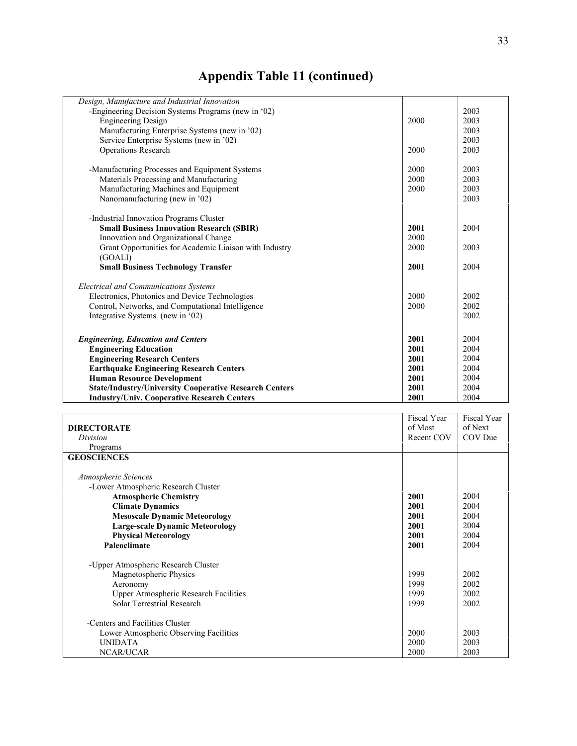| Design, Manufacture and Industrial Innovation                 |      |      |
|---------------------------------------------------------------|------|------|
| -Engineering Decision Systems Programs (new in '02)           |      | 2003 |
| <b>Engineering Design</b>                                     | 2000 | 2003 |
| Manufacturing Enterprise Systems (new in '02)                 |      | 2003 |
| Service Enterprise Systems (new in '02)                       |      | 2003 |
| <b>Operations Research</b>                                    | 2000 | 2003 |
|                                                               |      |      |
| -Manufacturing Processes and Equipment Systems                | 2000 | 2003 |
| Materials Processing and Manufacturing                        | 2000 | 2003 |
| Manufacturing Machines and Equipment                          | 2000 | 2003 |
| Nanomanufacturing (new in '02)                                |      | 2003 |
|                                                               |      |      |
| -Industrial Innovation Programs Cluster                       |      |      |
| <b>Small Business Innovation Research (SBIR)</b>              | 2001 | 2004 |
| Innovation and Organizational Change                          | 2000 |      |
| Grant Opportunities for Academic Liaison with Industry        | 2000 | 2003 |
| (GOALI)                                                       |      |      |
| <b>Small Business Technology Transfer</b>                     | 2001 | 2004 |
| <b>Electrical and Communications Systems</b>                  |      |      |
| Electronics, Photonics and Device Technologies                | 2000 | 2002 |
| Control, Networks, and Computational Intelligence             | 2000 | 2002 |
| Integrative Systems (new in '02)                              |      | 2002 |
|                                                               |      |      |
| <b>Engineering, Education and Centers</b>                     | 2001 | 2004 |
| <b>Engineering Education</b>                                  | 2001 | 2004 |
| <b>Engineering Research Centers</b>                           | 2001 | 2004 |
| <b>Earthquake Engineering Research Centers</b>                | 2001 | 2004 |
| <b>Human Resource Development</b>                             | 2001 | 2004 |
| <b>State/Industry/University Cooperative Research Centers</b> | 2001 | 2004 |
| <b>Industry/Univ. Cooperative Research Centers</b>            | 2001 | 2004 |

|                                              | Fiscal Year | <b>Fiscal Year</b> |
|----------------------------------------------|-------------|--------------------|
| <b>DIRECTORATE</b>                           | of Most     | of Next            |
| Division                                     | Recent COV  | COV Due            |
| Programs                                     |             |                    |
| <b>GEOSCIENCES</b>                           |             |                    |
|                                              |             |                    |
| Atmospheric Sciences                         |             |                    |
| -Lower Atmospheric Research Cluster          |             |                    |
| <b>Atmospheric Chemistry</b>                 | 2001        | 2004               |
| <b>Climate Dynamics</b>                      | 2001        | 2004               |
| <b>Mesoscale Dynamic Meteorology</b>         | 2001        | 2004               |
| <b>Large-scale Dynamic Meteorology</b>       | 2001        | 2004               |
| <b>Physical Meteorology</b>                  | 2001        | 2004               |
| Paleoclimate                                 | 2001        | 2004               |
|                                              |             |                    |
| -Upper Atmospheric Research Cluster          |             |                    |
| Magnetospheric Physics                       | 1999        | 2002               |
| Aeronomy                                     | 1999        | 2002               |
| <b>Upper Atmospheric Research Facilities</b> | 1999        | 2002               |
| Solar Terrestrial Research                   | 1999        | 2002               |
|                                              |             |                    |
| -Centers and Facilities Cluster              |             |                    |
| Lower Atmospheric Observing Facilities       | 2000        | 2003               |
| <b>UNIDATA</b>                               | 2000        | 2003               |
| NCAR/UCAR                                    | 2000        | 2003               |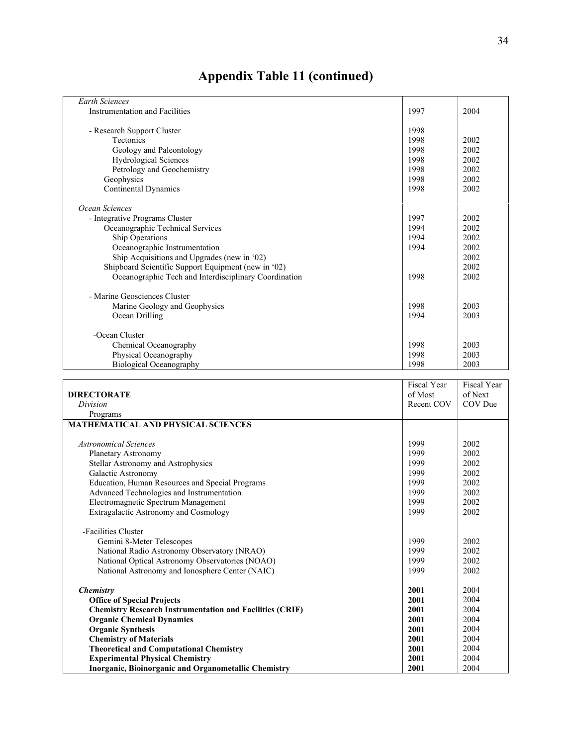| <b>Earth Sciences</b>                                 |      |      |
|-------------------------------------------------------|------|------|
| Instrumentation and Facilities                        | 1997 | 2004 |
|                                                       |      |      |
| - Research Support Cluster                            | 1998 |      |
| <b>Tectonics</b>                                      | 1998 | 2002 |
| Geology and Paleontology                              | 1998 | 2002 |
| <b>Hydrological Sciences</b>                          | 1998 | 2002 |
| Petrology and Geochemistry                            | 1998 | 2002 |
| Geophysics                                            | 1998 | 2002 |
| Continental Dynamics                                  | 1998 | 2002 |
|                                                       |      |      |
| Ocean Sciences                                        |      |      |
| - Integrative Programs Cluster                        | 1997 | 2002 |
| Oceanographic Technical Services                      | 1994 | 2002 |
| Ship Operations                                       | 1994 | 2002 |
| Oceanographic Instrumentation                         | 1994 | 2002 |
| Ship Acquisitions and Upgrades (new in '02)           |      | 2002 |
| Shipboard Scientific Support Equipment (new in '02)   |      | 2002 |
| Oceanographic Tech and Interdisciplinary Coordination | 1998 | 2002 |
|                                                       |      |      |
| - Marine Geosciences Cluster                          |      |      |
| Marine Geology and Geophysics                         | 1998 | 2003 |
| Ocean Drilling                                        | 1994 | 2003 |
|                                                       |      |      |
| -Ocean Cluster                                        |      |      |
| Chemical Oceanography                                 | 1998 | 2003 |
| Physical Oceanography                                 | 1998 | 2003 |
| <b>Biological Oceanography</b>                        | 1998 | 2003 |

|                                                                 | Fiscal Year | Fiscal Year |
|-----------------------------------------------------------------|-------------|-------------|
| <b>DIRECTORATE</b>                                              | of Most     | of Next     |
| Division                                                        | Recent COV  | COV Due     |
| Programs                                                        |             |             |
| MATHEMATICAL AND PHYSICAL SCIENCES                              |             |             |
|                                                                 |             |             |
| <b>Astronomical Sciences</b>                                    | 1999        | 2002        |
| <b>Planetary Astronomy</b>                                      | 1999        | 2002        |
| Stellar Astronomy and Astrophysics                              | 1999        | 2002        |
| Galactic Astronomy                                              | 1999        | 2002        |
| Education, Human Resources and Special Programs                 | 1999        | 2002        |
| Advanced Technologies and Instrumentation                       | 1999        | 2002        |
| Electromagnetic Spectrum Management                             | 1999        | 2002        |
| <b>Extragalactic Astronomy and Cosmology</b>                    | 1999        | 2002        |
|                                                                 |             |             |
| -Facilities Cluster                                             |             |             |
| Gemini 8-Meter Telescopes                                       |             | 2002        |
| National Radio Astronomy Observatory (NRAO)                     |             | 2002        |
| National Optical Astronomy Observatories (NOAO)                 |             | 2002        |
| National Astronomy and Ionosphere Center (NAIC)                 |             | 2002        |
|                                                                 |             |             |
| Chemistry                                                       | 2001        | 2004        |
| <b>Office of Special Projects</b>                               | 2001        | 2004        |
| <b>Chemistry Research Instrumentation and Facilities (CRIF)</b> | 2001        | 2004        |
| <b>Organic Chemical Dynamics</b>                                |             | 2004        |
| <b>Organic Synthesis</b>                                        |             | 2004        |
| <b>Chemistry of Materials</b>                                   |             | 2004        |
| <b>Theoretical and Computational Chemistry</b>                  |             | 2004        |
| <b>Experimental Physical Chemistry</b>                          | 2001        | 2004        |
| Inorganic, Bioinorganic and Organometallic Chemistry            | 2001        | 2004        |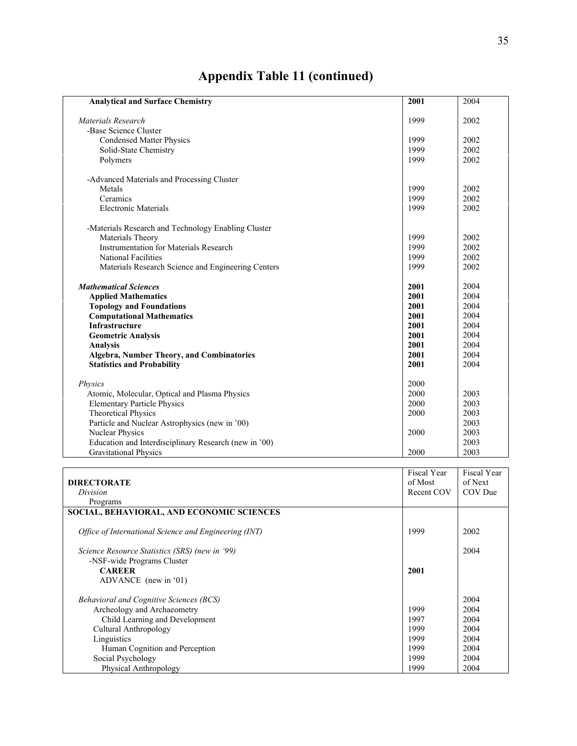| <b>Analytical and Surface Chemistry</b>               | 2001        | 2004        |
|-------------------------------------------------------|-------------|-------------|
| Materials Research                                    | 1999        | 2002        |
| -Base Science Cluster                                 |             |             |
| <b>Condensed Matter Physics</b>                       | 1999        | 2002        |
| Solid-State Chemistry                                 | 1999        | 2002        |
| Polymers                                              | 1999        | 2002        |
|                                                       |             |             |
| -Advanced Materials and Processing Cluster            |             |             |
| Metals                                                | 1999        | 2002        |
| Ceramics                                              | 1999        | 2002        |
| <b>Electronic Materials</b>                           | 1999        | 2002        |
| -Materials Research and Technology Enabling Cluster   |             |             |
| Materials Theory                                      | 1999        | 2002        |
| <b>Instrumentation for Materials Research</b>         | 1999        | 2002        |
| National Facilities                                   | 1999        | 2002        |
| Materials Research Science and Engineering Centers    | 1999        | 2002        |
|                                                       |             |             |
| <b>Mathematical Sciences</b>                          | 2001        | 2004        |
| <b>Applied Mathematics</b>                            | 2001        | 2004        |
| <b>Topology and Foundations</b>                       | 2001        | 2004        |
| <b>Computational Mathematics</b>                      | 2001        | 2004        |
| Infrastructure                                        | 2001        | 2004        |
| <b>Geometric Analysis</b>                             | 2001        | 2004        |
| <b>Analysis</b>                                       | 2001        | 2004        |
|                                                       |             | 2004        |
| Algebra, Number Theory, and Combinatories             | 2001        |             |
| <b>Statistics and Probability</b>                     | 2001        | 2004        |
| Physics                                               | 2000        |             |
| Atomic, Molecular, Optical and Plasma Physics         | 2000        | 2003        |
| <b>Elementary Particle Physics</b>                    | 2000        | 2003        |
| <b>Theoretical Physics</b>                            | 2000        | 2003        |
| Particle and Nuclear Astrophysics (new in '00)        |             | 2003        |
| Nuclear Physics                                       | 2000        | 2003        |
| Education and Interdisciplinary Research (new in '00) |             | 2003        |
| <b>Gravitational Physics</b>                          | 2000        | 2003        |
|                                                       |             |             |
|                                                       | Fiscal Year | Fiscal Year |
| <b>DIRECTORATE</b>                                    | of Most     | of Next     |
| Division                                              | Recent COV  | COV Due     |
| Programs                                              |             |             |
| SOCIAL, BEHAVIORAL, AND ECONOMIC SCIENCES             |             |             |
| Office of International Science and Engineering (INT) | 1999        | 2002        |
|                                                       |             |             |
| Science Resource Statistics (SRS) (new in '99)        |             | 2004        |
| -NSF-wide Programs Cluster                            |             |             |
| <b>CAREER</b>                                         | 2001        |             |
| ADVANCE (new in '01)                                  |             |             |
| Behavioral and Cognitive Sciences (BCS)               |             | 2004        |
|                                                       |             |             |

| ADVANCE (new in $(01)$ )                       |      |      |
|------------------------------------------------|------|------|
| <i>Behavioral and Cognitive Sciences (BCS)</i> |      | 2004 |
| Archeology and Archaeometry                    | 1999 | 2004 |
| Child Learning and Development                 | 1997 | 2004 |
| Cultural Anthropology                          | 1999 | 2004 |
| Linguistics                                    | 1999 | 2004 |
| Human Cognition and Perception                 | 1999 | 2004 |
| Social Psychology                              | 1999 | 2004 |
| Physical Anthropology                          | 1999 | 2004 |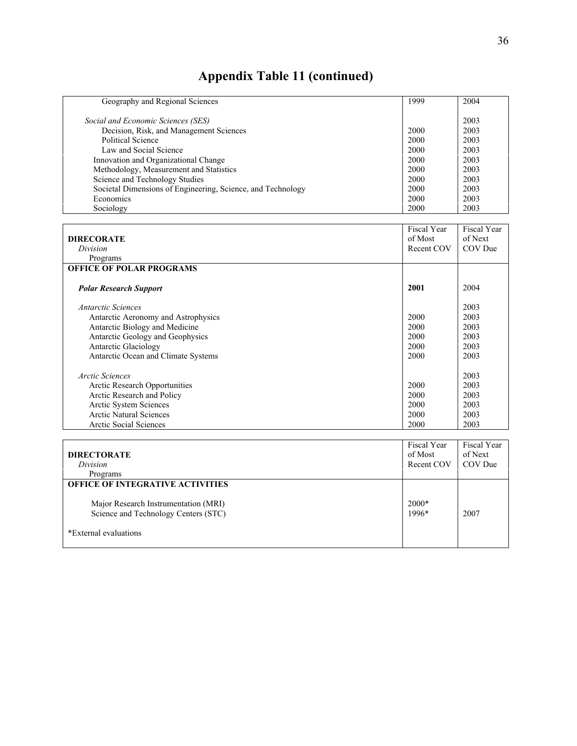| Geography and Regional Sciences                             | 1999 | 2004 |
|-------------------------------------------------------------|------|------|
| Social and Economic Sciences (SES)                          |      | 2003 |
| Decision, Risk, and Management Sciences                     | 2000 | 2003 |
| Political Science                                           | 2000 | 2003 |
| Law and Social Science                                      | 2000 | 2003 |
| Innovation and Organizational Change                        | 2000 | 2003 |
| Methodology, Measurement and Statistics                     | 2000 | 2003 |
| Science and Technology Studies                              | 2000 | 2003 |
| Societal Dimensions of Engineering, Science, and Technology | 2000 | 2003 |
| Economics                                                   | 2000 | 2003 |
| Sociology                                                   | 2000 | 2003 |

| <b>DIRECORATE</b>                   | Fiscal Year<br>of Most | Fiscal Year<br>of Next |
|-------------------------------------|------------------------|------------------------|
| Division                            | Recent COV             | COV Due                |
|                                     |                        |                        |
| Programs                            |                        |                        |
| <b>OFFICE OF POLAR PROGRAMS</b>     |                        |                        |
| <b>Polar Research Support</b>       | 2001                   | 2004                   |
| Antarctic Sciences                  |                        | 2003                   |
| Antarctic Aeronomy and Astrophysics | 2000                   | 2003                   |
| Antarctic Biology and Medicine      | 2000                   | 2003                   |
| Antarctic Geology and Geophysics    | 2000                   | 2003                   |
| <b>Antarctic Glaciology</b>         | 2000                   | 2003                   |
| Antarctic Ocean and Climate Systems | 2000                   | 2003                   |
| Arctic Sciences                     |                        | 2003                   |
| Arctic Research Opportunities       |                        | 2003                   |
| Arctic Research and Policy          | 2000                   | 2003                   |
| Arctic System Sciences              | 2000                   | 2003                   |
| <b>Arctic Natural Sciences</b>      | 2000                   | 2003                   |
| <b>Arctic Social Sciences</b>       | 2000                   | 2003                   |

|                                                                              | Fiscal Year      | <b>Fiscal Year</b> |
|------------------------------------------------------------------------------|------------------|--------------------|
| <b>DIRECTORATE</b>                                                           | of Most          | of Next            |
| Division                                                                     | Recent COV       | COV Due            |
| Programs                                                                     |                  |                    |
| <b>OFFICE OF INTEGRATIVE ACTIVITIES</b>                                      |                  |                    |
| Major Research Instrumentation (MRI)<br>Science and Technology Centers (STC) | $2000*$<br>1996* | 2007               |
| *External evaluations                                                        |                  |                    |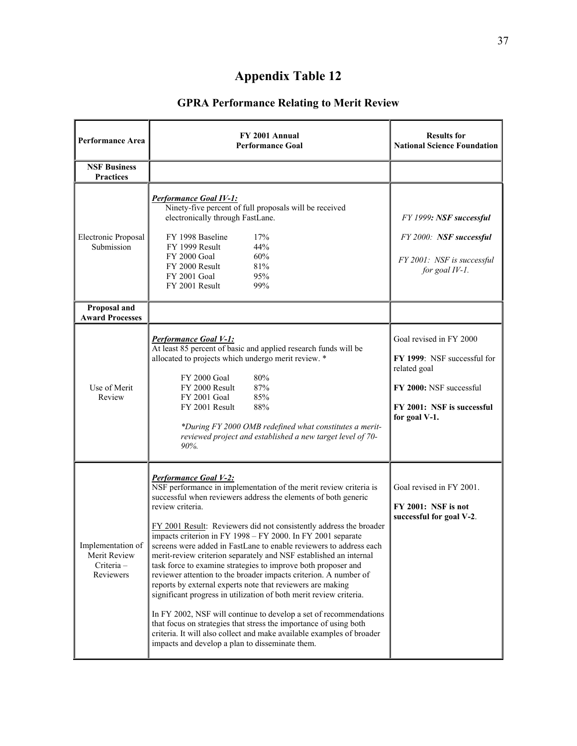## **GPRA Performance Relating to Merit Review**

| <b>Performance Area</b>                                     | FY 2001 Annual<br><b>Performance Goal</b>                                                                                                                                                                                                                                                                                                                                                                                                                                                                                                                                                                                                                                                                                                                                                                                                                                                                                                                                                                       | <b>Results for</b><br><b>National Science Foundation</b>                                                                                         |
|-------------------------------------------------------------|-----------------------------------------------------------------------------------------------------------------------------------------------------------------------------------------------------------------------------------------------------------------------------------------------------------------------------------------------------------------------------------------------------------------------------------------------------------------------------------------------------------------------------------------------------------------------------------------------------------------------------------------------------------------------------------------------------------------------------------------------------------------------------------------------------------------------------------------------------------------------------------------------------------------------------------------------------------------------------------------------------------------|--------------------------------------------------------------------------------------------------------------------------------------------------|
| <b>NSF Business</b><br><b>Practices</b>                     |                                                                                                                                                                                                                                                                                                                                                                                                                                                                                                                                                                                                                                                                                                                                                                                                                                                                                                                                                                                                                 |                                                                                                                                                  |
| Electronic Proposal<br>Submission                           | <b>Performance Goal IV-1:</b><br>Ninety-five percent of full proposals will be received<br>electronically through FastLane.<br>FY 1998 Baseline<br>17%<br>44%<br>FY 1999 Result<br>FY 2000 Goal<br>60%<br>FY 2000 Result<br>81%<br>95%<br>FY 2001 Goal<br>FY 2001 Result<br>99%                                                                                                                                                                                                                                                                                                                                                                                                                                                                                                                                                                                                                                                                                                                                 | FY 1999: NSF successful<br>FY 2000: NSF successful<br>FY 2001: NSF is successful<br>for goal IV-1.                                               |
| Proposal and<br><b>Award Processes</b>                      |                                                                                                                                                                                                                                                                                                                                                                                                                                                                                                                                                                                                                                                                                                                                                                                                                                                                                                                                                                                                                 |                                                                                                                                                  |
| Use of Merit<br>Review                                      | <b>Performance Goal V-1:</b><br>At least 85 percent of basic and applied research funds will be<br>allocated to projects which undergo merit review. *<br>FY 2000 Goal<br>80%<br>87%<br>FY 2000 Result<br>FY 2001 Goal<br>85%<br>FY 2001 Result<br>88%<br>*During FY 2000 OMB redefined what constitutes a merit-<br>reviewed project and established a new target level of 70-<br>90%.                                                                                                                                                                                                                                                                                                                                                                                                                                                                                                                                                                                                                         | Goal revised in FY 2000<br>FY 1999: NSF successful for<br>related goal<br>FY 2000: NSF successful<br>FY 2001: NSF is successful<br>for goal V-1. |
| Implementation of<br>Merit Review<br>Criteria-<br>Reviewers | Performance Goal V-2:<br>NSF performance in implementation of the merit review criteria is<br>successful when reviewers address the elements of both generic<br>review criteria.<br>FY 2001 Result: Reviewers did not consistently address the broader<br>impacts criterion in FY 1998 - FY 2000. In FY 2001 separate<br>screens were added in FastLane to enable reviewers to address each<br>merit-review criterion separately and NSF established an internal<br>task force to examine strategies to improve both proposer and<br>reviewer attention to the broader impacts criterion. A number of<br>reports by external experts note that reviewers are making<br>significant progress in utilization of both merit review criteria.<br>In FY 2002, NSF will continue to develop a set of recommendations<br>that focus on strategies that stress the importance of using both<br>criteria. It will also collect and make available examples of broader<br>impacts and develop a plan to disseminate them. | Goal revised in FY 2001.<br>FY 2001: NSF is not<br>successful for goal V-2.                                                                      |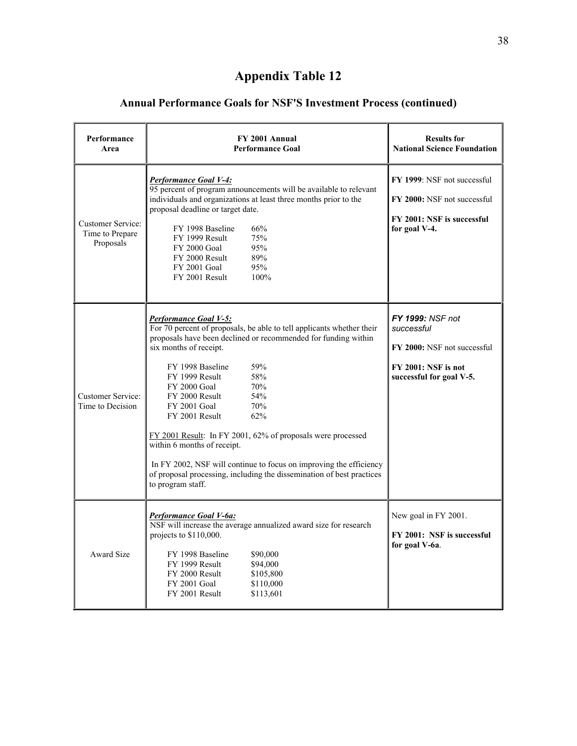## **Annual Performance Goals for NSF'S Investment Process (continued)**

| Performance<br>Area                                      | FY 2001 Annual<br><b>Performance Goal</b>                                                                                                                                                                                                                                                                                                                                                                                                                                                                                                                                                                                             | <b>Results for</b><br><b>National Science Foundation</b>                                                         |
|----------------------------------------------------------|---------------------------------------------------------------------------------------------------------------------------------------------------------------------------------------------------------------------------------------------------------------------------------------------------------------------------------------------------------------------------------------------------------------------------------------------------------------------------------------------------------------------------------------------------------------------------------------------------------------------------------------|------------------------------------------------------------------------------------------------------------------|
| <b>Customer Service:</b><br>Time to Prepare<br>Proposals | <b>Performance Goal V-4:</b><br>95 percent of program announcements will be available to relevant<br>individuals and organizations at least three months prior to the<br>proposal deadline or target date.<br>FY 1998 Baseline<br>66%<br>75%<br>FY 1999 Result<br><b>FY 2000 Goal</b><br>95%<br>FY 2000 Result<br>89%<br>FY 2001 Goal<br>95%<br>100%<br>FY 2001 Result                                                                                                                                                                                                                                                                | FY 1999: NSF not successful<br>FY 2000: NSF not successful<br>FY 2001: NSF is successful<br>for goal V-4.        |
| Customer Service:<br>Time to Decision                    | <b>Performance Goal V-5:</b><br>For 70 percent of proposals, be able to tell applicants whether their<br>proposals have been declined or recommended for funding within<br>six months of receipt.<br>FY 1998 Baseline<br>59%<br>58%<br>FY 1999 Result<br><b>FY 2000 Goal</b><br>70%<br>54%<br>FY 2000 Result<br>70%<br><b>FY 2001 Goal</b><br>FY 2001 Result<br>62%<br>FY 2001 Result: In FY 2001, 62% of proposals were processed<br>within 6 months of receipt.<br>In FY 2002, NSF will continue to focus on improving the efficiency<br>of proposal processing, including the dissemination of best practices<br>to program staff. | FY 1999: NSF not<br>successful<br>FY 2000: NSF not successful<br>FY 2001: NSF is not<br>successful for goal V-5. |
| Award Size                                               | <u>Performance Goal V-6a:</u><br>NSF will increase the average annualized award size for research<br>projects to \$110,000.<br>FY 1998 Baseline<br>\$90,000<br>\$94,000<br>FY 1999 Result<br>\$105,800<br>FY 2000 Result<br>\$110,000<br><b>FY 2001 Goal</b><br>FY 2001 Result<br>\$113,601                                                                                                                                                                                                                                                                                                                                           | New goal in FY 2001.<br>FY 2001: NSF is successful<br>for goal V-6a.                                             |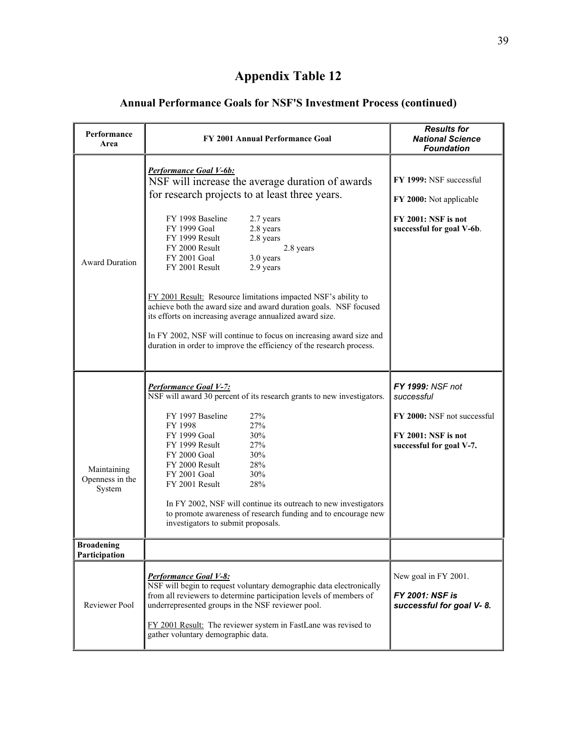## **Annual Performance Goals for NSF'S Investment Process (continued)**

| Performance<br>Area                      | FY 2001 Annual Performance Goal                                                                                                                                                                                                                                                                                                                | <b>Results for</b><br><b>National Science</b><br><b>Foundation</b>             |
|------------------------------------------|------------------------------------------------------------------------------------------------------------------------------------------------------------------------------------------------------------------------------------------------------------------------------------------------------------------------------------------------|--------------------------------------------------------------------------------|
|                                          | Performance Goal V-6b:<br>NSF will increase the average duration of awards<br>for research projects to at least three years.                                                                                                                                                                                                                   | FY 1999: NSF successful<br>FY 2000: Not applicable                             |
| <b>Award Duration</b>                    | FY 1998 Baseline<br>2.7 years<br>FY 1999 Goal<br>2.8 years<br>FY 1999 Result<br>2.8 years<br>FY 2000 Result<br>2.8 years<br>FY 2001 Goal<br>3.0 years<br>2.9 years<br>FY 2001 Result                                                                                                                                                           | FY 2001: NSF is not<br>successful for goal V-6b.                               |
|                                          | FY 2001 Result: Resource limitations impacted NSF's ability to<br>achieve both the award size and award duration goals. NSF focused<br>its efforts on increasing average annualized award size.<br>In FY 2002, NSF will continue to focus on increasing award size and<br>duration in order to improve the efficiency of the research process. |                                                                                |
|                                          | <b>Performance Goal V-7:</b>                                                                                                                                                                                                                                                                                                                   | FY 1999: NSF not                                                               |
|                                          | NSF will award 30 percent of its research grants to new investigators.                                                                                                                                                                                                                                                                         | successful                                                                     |
| Maintaining<br>Openness in the<br>System | FY 1997 Baseline<br>27%<br>27%<br>FY 1998<br>30%<br>FY 1999 Goal<br>27%<br>FY 1999 Result<br>30%<br>FY 2000 Goal<br>FY 2000 Result<br>28%<br>30%<br>FY 2001 Goal<br>28%<br>FY 2001 Result                                                                                                                                                      | FY 2000: NSF not successful<br>FY 2001: NSF is not<br>successful for goal V-7. |
|                                          | In FY 2002, NSF will continue its outreach to new investigators<br>to promote awareness of research funding and to encourage new<br>investigators to submit proposals.                                                                                                                                                                         |                                                                                |
| <b>Broadening</b><br>Participation       |                                                                                                                                                                                                                                                                                                                                                |                                                                                |
| <b>Reviewer Pool</b>                     | <b>Performance Goal V-8:</b><br>NSF will begin to request voluntary demographic data electronically<br>from all reviewers to determine participation levels of members of<br>underrepresented groups in the NSF reviewer pool.<br>FY 2001 Result: The reviewer system in FastLane was revised to<br>gather voluntary demographic data.         | New goal in FY 2001.<br><b>FY 2001: NSF is</b><br>successful for goal V-8.     |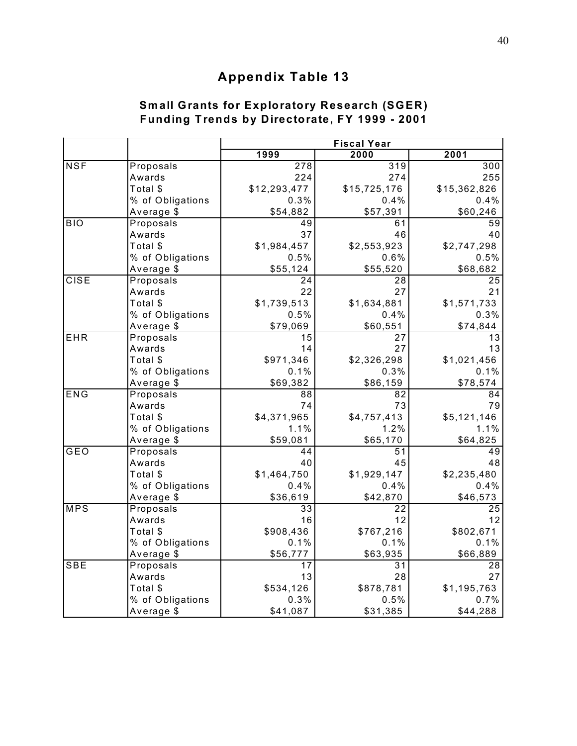### **Sm all Grants for Exploratory Research (SGER) Funding Trends by Directorate, FY 1999 - 2001**

|             |                  | <b>Fiscal Year</b> |                  |                 |
|-------------|------------------|--------------------|------------------|-----------------|
|             |                  | 1999               | 2000             | 2001            |
| <b>NSF</b>  | Proposals        | $\overline{278}$   | $\overline{319}$ | 300             |
|             | Awards           | 224                | 274              | 255             |
|             | Total \$         | \$12,293,477       | \$15,725,176     | \$15,362,826    |
|             | % of Obligations | 0.3%               | 0.4%             | 0.4%            |
|             | Average \$       | \$54,882           | \$57,391         | \$60,246        |
| <b>BIO</b>  | Proposals        | 49                 | 61               | 59              |
|             | Awards           | 37                 | 46               | 40              |
|             | Total \$         | \$1,984,457        | \$2,553,923      | \$2,747,298     |
|             | % of Obligations | 0.5%               | 0.6%             | 0.5%            |
|             | Average \$       | \$55,124           | \$55,520         | \$68,682        |
| <b>CISE</b> | Proposals        | $\overline{24}$    | $\overline{28}$  | 25              |
|             | Awards           | 22                 | 27               | 21              |
|             | Total \$         | \$1,739,513        | \$1,634,881      | \$1,571,733     |
|             | % of Obligations | 0.5%               | 0.4%             | 0.3%            |
|             | Average \$       | \$79,069           | \$60,551         | \$74,844        |
| EHR         | Proposals        | 15                 | 27               | 13              |
|             | Awards           | 14                 | 27               | 13              |
|             | Total \$         | \$971,346          | \$2,326,298      | \$1,021,456     |
|             | % of Obligations | 0.1%               | 0.3%             | 0.1%            |
|             | Average \$       | \$69,382           | \$86,159         | \$78,574        |
| ENG         | Proposals        | 88                 | 82               | 84              |
|             | Awards           | 74                 | 73               | 79              |
|             | Total \$         | \$4,371,965        | \$4,757,413      | \$5,121,146     |
|             | % of Obligations | 1.1%               | 1.2%             | 1.1%            |
|             | Average \$       | \$59,081           | \$65,170         | \$64,825        |
| GEO         | Proposals        | 44                 | 51               | 49              |
|             | Awards           | 40                 | 45               | 48              |
|             | Total \$         | \$1,464,750        | \$1,929,147      | \$2,235,480     |
|             | % of Obligations | 0.4%               | 0.4%             | 0.4%            |
|             | Average \$       | \$36,619           | \$42,870         | \$46,573        |
| <b>MPS</b>  | Proposals        | 33                 | $\overline{22}$  | $\overline{25}$ |
|             | Awards           | 16                 | 12               | 12              |
|             | Total \$         | \$908,436          | \$767,216        | \$802,671       |
|             | % of Obligations | 0.1%               | 0.1%             | 0.1%            |
|             | Average \$       | \$56,777           | \$63,935         | \$66,889        |
| <b>SBE</b>  | Proposals        | 17                 | 31               | 28              |
|             | Awards           | 13                 | 28               | 27              |
|             | Total \$         | \$534,126          | \$878,781        | \$1,195,763     |
|             | % of Obligations | 0.3%               | 0.5%             | 0.7%            |
|             | Average \$       | \$41,087           | \$31,385         | \$44,288        |